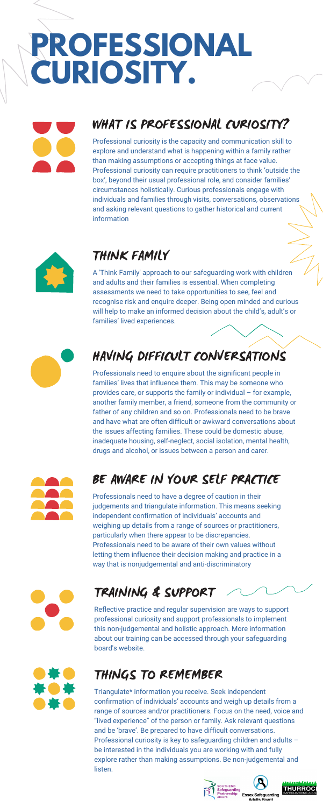# **PROFESSIONAL CURIOSITY.**

#### THINK FAMILY

A 'Think Family' approach to our safeguarding work with children and adults and their families is essential. When completing assessments we need to take opportunities to see, feel and recognise risk and enquire deeper. Being open minded and curious will help to make an informed decision about the child's, adult's or families' lived experiences.



### TRAINING & SUPPORT

Reflective practice and regular supervision are ways to support professional curiosity and support professionals to implement this non-judgemental and holistic approach. More information about our training can be accessed through your safeguarding board's website.



### HAVING DIFFICULT CONVERSATIONS

Professionals need to enquire about the significant people in families' lives that influence them. This may be someone who provides care, or supports the family or individual – for example, another family member, a friend, someone from the community or father of any children and so on. Professionals need to be brave and have what are often difficult or awkward conversations about the issues affecting families. These could be domestic abuse, inadequate housing, self-neglect, social isolation, mental health, drugs and alcohol, or issues between a person and carer.



### WHAT IS PROFESSIONAL CURIOSITY?

Professional curiosity is the capacity and communication skill to explore and understand what is happening within a family rather than making assumptions or accepting things at face value. Professional curiosity can require practitioners to think 'outside the box', beyond their usual professional role, and consider families' circumstances holistically. Curious professionals engage with individuals and families through visits, conversations, observations and asking relevant questions to gather historical and current information



#### BE AWARE IN YOUR SELF PRACTICE



Professionals need to have a degree of caution in their judgements and triangulate information. This means seeking independent confirmation of individuals' accounts and weighing up details from a range of sources or practitioners, particularly when there appear to be discrepancies. Professionals need to be aware of their own values without letting them influence their decision making and practice in a way that is nonjudgemental and anti-discriminatory



### THINGS TO REMEMBER

Triangulate\* information you receive. Seek independent confirmation of individuals' accounts and weigh up details from a range of sources and/or practitioners. Focus on the need, voice and "lived experience" of the person or family. Ask relevant questions and be 'brave'. Be prepared to have difficult conversations. Professional curiosity is key to safeguarding children and adults – be interested in the individuals you are working with and fully explore rather than making assumptions. Be non-judgemental and listen.